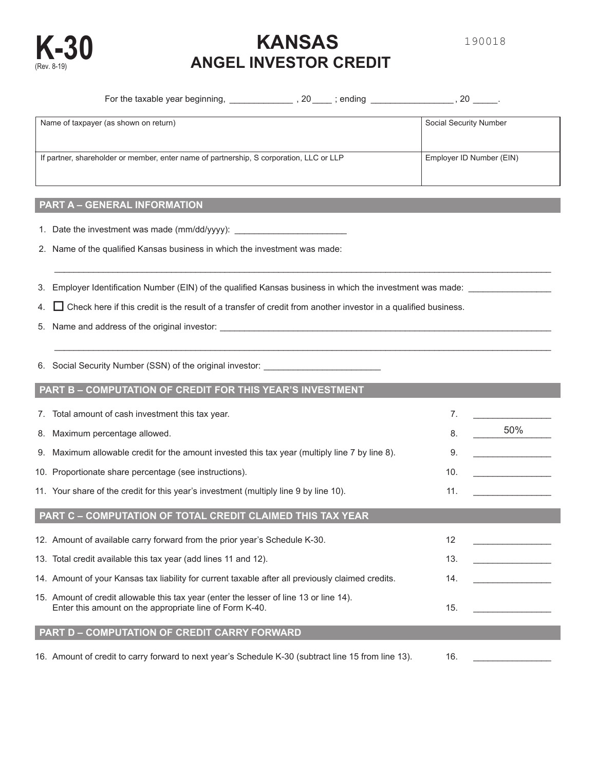

# **KANSAS K-30** (Rev. 8-19) **ANGEL INVESTOR CREDIT**

| For the taxable year beginning,<br>20<br>; ending                                       | 20                       |
|-----------------------------------------------------------------------------------------|--------------------------|
| Name of taxpayer (as shown on return)                                                   | Social Security Number   |
| If partner, shareholder or member, enter name of partnership, S corporation, LLC or LLP | Employer ID Number (EIN) |

 $\mathcal{L}_\mathcal{L} = \{ \mathcal{L}_\mathcal{L} = \{ \mathcal{L}_\mathcal{L} = \{ \mathcal{L}_\mathcal{L} = \{ \mathcal{L}_\mathcal{L} = \{ \mathcal{L}_\mathcal{L} = \{ \mathcal{L}_\mathcal{L} = \{ \mathcal{L}_\mathcal{L} = \{ \mathcal{L}_\mathcal{L} = \{ \mathcal{L}_\mathcal{L} = \{ \mathcal{L}_\mathcal{L} = \{ \mathcal{L}_\mathcal{L} = \{ \mathcal{L}_\mathcal{L} = \{ \mathcal{L}_\mathcal{L} = \{ \mathcal{L}_\mathcal{$ 

 $\mathcal{L}_\mathcal{L} = \{ \mathcal{L}_\mathcal{L} = \{ \mathcal{L}_\mathcal{L} = \{ \mathcal{L}_\mathcal{L} = \{ \mathcal{L}_\mathcal{L} = \{ \mathcal{L}_\mathcal{L} = \{ \mathcal{L}_\mathcal{L} = \{ \mathcal{L}_\mathcal{L} = \{ \mathcal{L}_\mathcal{L} = \{ \mathcal{L}_\mathcal{L} = \{ \mathcal{L}_\mathcal{L} = \{ \mathcal{L}_\mathcal{L} = \{ \mathcal{L}_\mathcal{L} = \{ \mathcal{L}_\mathcal{L} = \{ \mathcal{L}_\mathcal{$ 

## **PART A – GENERAL INFORMATION**

- 1. Date the investment was made (mm/dd/yyyy): \_\_\_\_\_\_\_\_\_\_\_\_\_\_\_\_\_\_\_\_\_\_\_
- 2. Name of the qualified Kansas business in which the investment was made:
- 3. Employer Identification Number (EIN) of the qualified Kansas business in which the investment was made: \_\_\_\_\_\_\_\_\_\_\_\_\_\_\_\_\_
- 4.  $\Box$  Check here if this credit is the result of a transfer of credit from another investor in a qualified business.
- 5. Name and address of the original investor: \_\_\_\_\_\_\_\_\_\_\_\_\_\_\_\_\_\_\_\_\_\_\_\_\_\_\_\_\_\_\_\_\_\_\_\_\_\_\_\_\_\_\_\_\_\_\_\_\_\_\_\_\_\_\_\_\_\_\_\_\_\_\_\_\_\_\_\_
- 6. Social Security Number (SSN) of the original investor: \_\_\_\_\_\_\_\_\_\_\_\_\_\_\_\_\_\_\_\_\_\_\_\_

## **PART B – COMPUTATION OF CREDIT FOR THIS YEAR'S INVESTMENT**

| 7. Total amount of cash investment this tax year.                                                                                                 | 7.  |     |
|---------------------------------------------------------------------------------------------------------------------------------------------------|-----|-----|
| 8. Maximum percentage allowed.                                                                                                                    | 8.  | 50% |
| 9. Maximum allowable credit for the amount invested this tax year (multiply line 7 by line 8).                                                    | 9.  |     |
| 10. Proportionate share percentage (see instructions).                                                                                            | 10. |     |
| 11. Your share of the credit for this year's investment (multiply line 9 by line 10).                                                             | 11. |     |
| PART C - COMPUTATION OF TOTAL CREDIT CLAIMED THIS TAX YEAR                                                                                        |     |     |
| 12. Amount of available carry forward from the prior year's Schedule K-30.                                                                        | 12  |     |
| 13. Total credit available this tax year (add lines 11 and 12).                                                                                   | 13. |     |
| 14. Amount of your Kansas tax liability for current taxable after all previously claimed credits.                                                 | 14. |     |
| 15. Amount of credit allowable this tax year (enter the lesser of line 13 or line 14).<br>Enter this amount on the appropriate line of Form K-40. | 15. |     |
| <b>PART D - COMPUTATION OF CREDIT CARRY FORWARD</b>                                                                                               |     |     |
| 16. Amount of credit to carry forward to next year's Schedule K-30 (subtract line 15 from line 13).                                               | 16. |     |